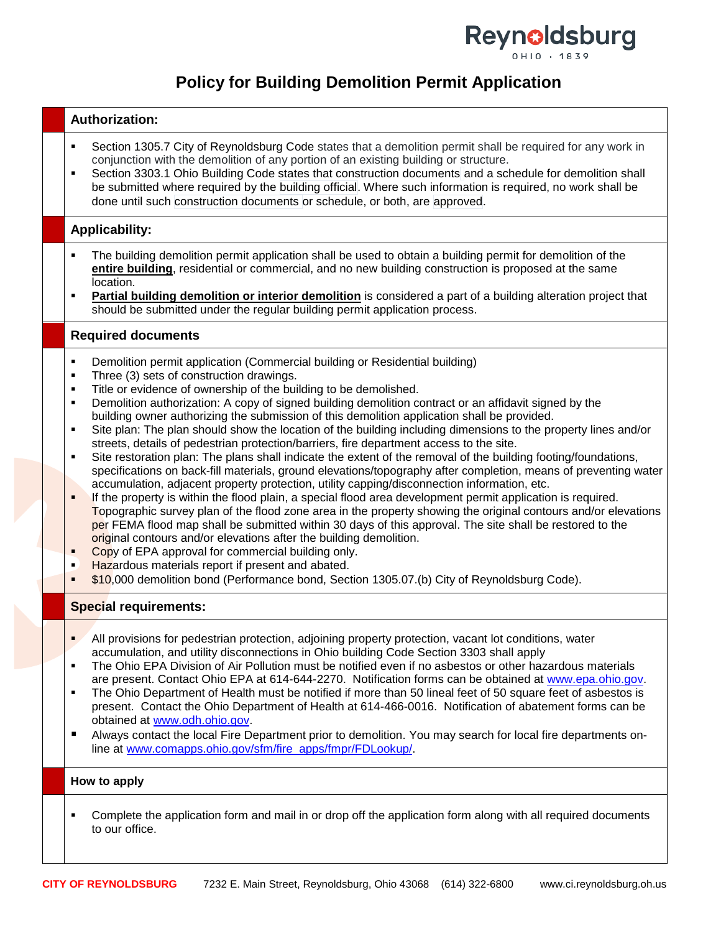

# **Policy for Building Demolition Permit Application**

| <b>Authorization:</b>                                                                                                                                                                                                                                                                                                                                                                                                                                                                                                                                                                                                                                                                                                                                                                                                                                                                                                                                                                                                                                                                                                                                                                                                                                                                                                                                                                                                                                                                                                                                                                                                                       |  |  |  |  |  |
|---------------------------------------------------------------------------------------------------------------------------------------------------------------------------------------------------------------------------------------------------------------------------------------------------------------------------------------------------------------------------------------------------------------------------------------------------------------------------------------------------------------------------------------------------------------------------------------------------------------------------------------------------------------------------------------------------------------------------------------------------------------------------------------------------------------------------------------------------------------------------------------------------------------------------------------------------------------------------------------------------------------------------------------------------------------------------------------------------------------------------------------------------------------------------------------------------------------------------------------------------------------------------------------------------------------------------------------------------------------------------------------------------------------------------------------------------------------------------------------------------------------------------------------------------------------------------------------------------------------------------------------------|--|--|--|--|--|
| Section 1305.7 City of Reynoldsburg Code states that a demolition permit shall be required for any work in<br>٠<br>conjunction with the demolition of any portion of an existing building or structure.<br>Section 3303.1 Ohio Building Code states that construction documents and a schedule for demolition shall<br>٠<br>be submitted where required by the building official. Where such information is required, no work shall be<br>done until such construction documents or schedule, or both, are approved.                                                                                                                                                                                                                                                                                                                                                                                                                                                                                                                                                                                                                                                                                                                                                                                                                                                                                                                                                                                                                                                                                                                        |  |  |  |  |  |
| <b>Applicability:</b>                                                                                                                                                                                                                                                                                                                                                                                                                                                                                                                                                                                                                                                                                                                                                                                                                                                                                                                                                                                                                                                                                                                                                                                                                                                                                                                                                                                                                                                                                                                                                                                                                       |  |  |  |  |  |
| The building demolition permit application shall be used to obtain a building permit for demolition of the<br>entire building, residential or commercial, and no new building construction is proposed at the same<br>location.<br>Partial building demolition or interior demolition is considered a part of a building alteration project that<br>٠<br>should be submitted under the regular building permit application process.                                                                                                                                                                                                                                                                                                                                                                                                                                                                                                                                                                                                                                                                                                                                                                                                                                                                                                                                                                                                                                                                                                                                                                                                         |  |  |  |  |  |
| <b>Required documents</b>                                                                                                                                                                                                                                                                                                                                                                                                                                                                                                                                                                                                                                                                                                                                                                                                                                                                                                                                                                                                                                                                                                                                                                                                                                                                                                                                                                                                                                                                                                                                                                                                                   |  |  |  |  |  |
| Demolition permit application (Commercial building or Residential building)<br>$\blacksquare$<br>Three (3) sets of construction drawings.<br>٠<br>Title or evidence of ownership of the building to be demolished.<br>٠<br>Demolition authorization: A copy of signed building demolition contract or an affidavit signed by the<br>٠<br>building owner authorizing the submission of this demolition application shall be provided.<br>Site plan: The plan should show the location of the building including dimensions to the property lines and/or<br>٠<br>streets, details of pedestrian protection/barriers, fire department access to the site.<br>Site restoration plan: The plans shall indicate the extent of the removal of the building footing/foundations,<br>٠<br>specifications on back-fill materials, ground elevations/topography after completion, means of preventing water<br>accumulation, adjacent property protection, utility capping/disconnection information, etc.<br>If the property is within the flood plain, a special flood area development permit application is required.<br>Topographic survey plan of the flood zone area in the property showing the original contours and/or elevations<br>per FEMA flood map shall be submitted within 30 days of this approval. The site shall be restored to the<br>original contours and/or elevations after the building demolition.<br>Copy of EPA approval for commercial building only.<br>٠<br>Hazardous materials report if present and abated.<br>٠<br>\$10,000 demolition bond (Performance bond, Section 1305.07.(b) City of Reynoldsburg Code).<br>٠ |  |  |  |  |  |
| <b>Special requirements:</b>                                                                                                                                                                                                                                                                                                                                                                                                                                                                                                                                                                                                                                                                                                                                                                                                                                                                                                                                                                                                                                                                                                                                                                                                                                                                                                                                                                                                                                                                                                                                                                                                                |  |  |  |  |  |
| All provisions for pedestrian protection, adjoining property protection, vacant lot conditions, water<br>$\blacksquare$<br>accumulation, and utility disconnections in Ohio building Code Section 3303 shall apply<br>The Ohio EPA Division of Air Pollution must be notified even if no asbestos or other hazardous materials<br>٠<br>are present. Contact Ohio EPA at 614-644-2270. Notification forms can be obtained at www.epa.ohio.gov.<br>The Ohio Department of Health must be notified if more than 50 lineal feet of 50 square feet of asbestos is<br>٠<br>present. Contact the Ohio Department of Health at 614-466-0016. Notification of abatement forms can be<br>obtained at www.odh.ohio.gov.<br>Always contact the local Fire Department prior to demolition. You may search for local fire departments on-<br>п<br>line at www.comapps.ohio.gov/sfm/fire_apps/fmpr/FDLookup/.                                                                                                                                                                                                                                                                                                                                                                                                                                                                                                                                                                                                                                                                                                                                              |  |  |  |  |  |
| How to apply                                                                                                                                                                                                                                                                                                                                                                                                                                                                                                                                                                                                                                                                                                                                                                                                                                                                                                                                                                                                                                                                                                                                                                                                                                                                                                                                                                                                                                                                                                                                                                                                                                |  |  |  |  |  |
| Complete the application form and mail in or drop off the application form along with all required documents<br>٠<br>to our office.                                                                                                                                                                                                                                                                                                                                                                                                                                                                                                                                                                                                                                                                                                                                                                                                                                                                                                                                                                                                                                                                                                                                                                                                                                                                                                                                                                                                                                                                                                         |  |  |  |  |  |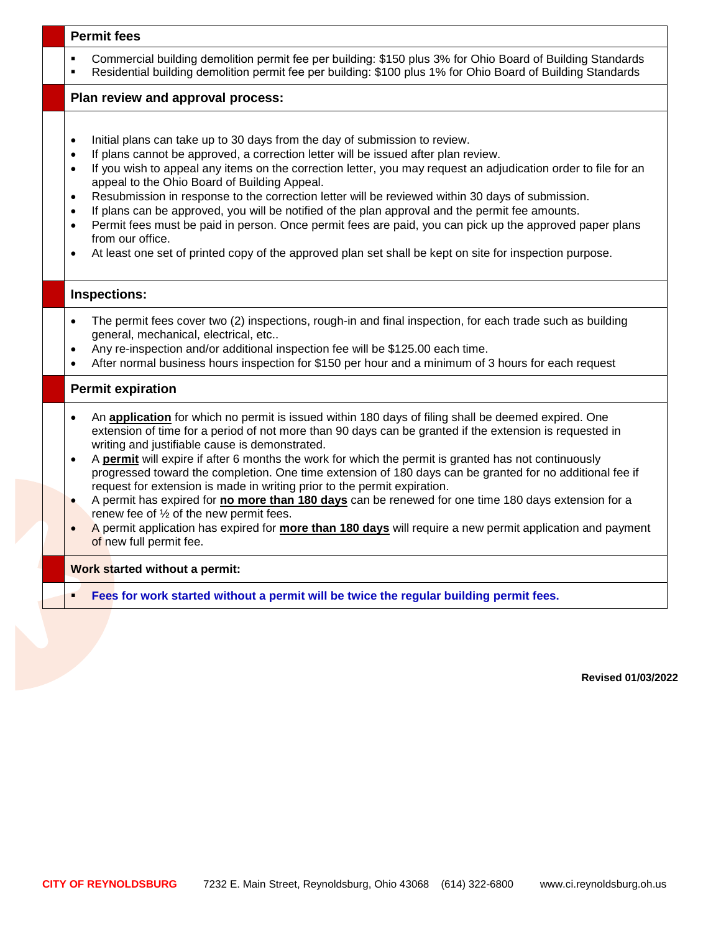#### **Permit fees**

- Commercial building demolition permit fee per building: \$150 plus 3% for Ohio Board of Building Standards
- Residential building demolition permit fee per building: \$100 plus 1% for Ohio Board of Building Standards

**Plan review and approval process:**

- Initial plans can take up to 30 days from the day of submission to review.
- If plans cannot be approved, a correction letter will be issued after plan review.
- If you wish to appeal any items on the correction letter, you may request an adjudication order to file for an appeal to the Ohio Board of Building Appeal.
- Resubmission in response to the correction letter will be reviewed within 30 days of submission.
- If plans can be approved, you will be notified of the plan approval and the permit fee amounts.
- Permit fees must be paid in person. Once permit fees are paid, you can pick up the approved paper plans from our office.
- At least one set of printed copy of the approved plan set shall be kept on site for inspection purpose.

### **Inspections:**

- The permit fees cover two (2) inspections, rough-in and final inspection, for each trade such as building general, mechanical, electrical, etc..
- Any re-inspection and/or additional inspection fee will be \$125.00 each time.
- After normal business hours inspection for \$150 per hour and a minimum of 3 hours for each request

### **Permit expiration**

- An **application** for which no permit is issued within 180 days of filing shall be deemed expired. One extension of time for a period of not more than 90 days can be granted if the extension is requested in writing and justifiable cause is demonstrated.
- A **permit** will expire if after 6 months the work for which the permit is granted has not continuously progressed toward the completion. One time extension of 180 days can be granted for no additional fee if request for extension is made in writing prior to the permit expiration.
- A permit has expired for **no more than 180 days** can be renewed for one time 180 days extension for a renew fee of ½ of the new permit fees.
- A permit application has expired for **more than 180 days** will require a new permit application and payment of new full permit fee.

### **Work started without a permit:**

**Fees for work started without a permit will be twice the regular building permit fees.**

**Revised 01/03/2022**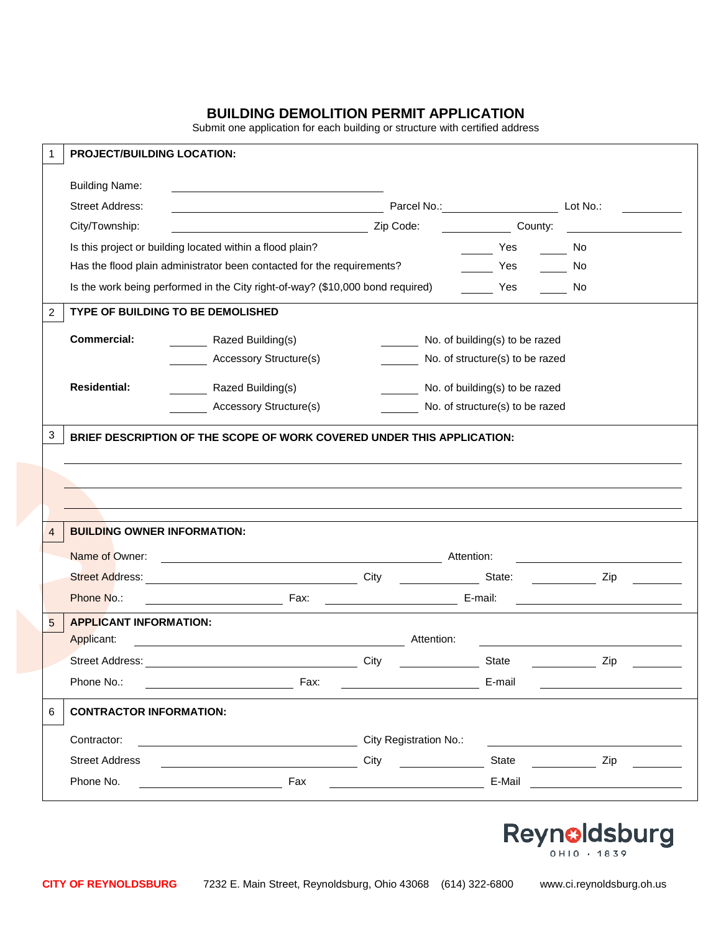## **BUILDING DEMOLITION PERMIT APPLICATION**

Submit one application for each building or structure with certified address

| 1            | <b>PROJECT/BUILDING LOCATION:</b>  |                                                                                                                                                                                                                                |                                                 |                                 |                                                    |
|--------------|------------------------------------|--------------------------------------------------------------------------------------------------------------------------------------------------------------------------------------------------------------------------------|-------------------------------------------------|---------------------------------|----------------------------------------------------|
|              | <b>Building Name:</b>              | <u> 1989 - Johann Barbara, martxa alemaniar arg</u>                                                                                                                                                                            |                                                 |                                 |                                                    |
|              | <b>Street Address:</b>             | <u> 1989 - Johann Stoff, deutscher Stoffen und der Stoffen und der Stoffen und der Stoffen und der Stoffen und der</u>                                                                                                         |                                                 | Parcel No.: Lot No.:            |                                                    |
|              | City/Township:                     |                                                                                                                                                                                                                                |                                                 | County:                         |                                                    |
|              |                                    | Is this project or building located within a flood plain?                                                                                                                                                                      |                                                 | Yes                             | in a No                                            |
|              |                                    | Has the flood plain administrator been contacted for the requirements?                                                                                                                                                         |                                                 | Yes                             | $\frac{1}{\sqrt{1-\frac{1}{2}}}$ No                |
|              |                                    | Is the work being performed in the City right-of-way? (\$10,000 bond required)                                                                                                                                                 |                                                 | Yes                             | a No                                               |
| 2            |                                    | TYPE OF BUILDING TO BE DEMOLISHED                                                                                                                                                                                              |                                                 |                                 |                                                    |
|              | <b>Commercial:</b>                 | Razed Building(s)                                                                                                                                                                                                              |                                                 | No. of building(s) to be razed  |                                                    |
|              |                                    | <b>Accessory Structure(s)</b>                                                                                                                                                                                                  |                                                 | No. of structure(s) to be razed |                                                    |
|              | <b>Residential:</b>                | Razed Building(s)                                                                                                                                                                                                              |                                                 | No. of building(s) to be razed  |                                                    |
|              |                                    | <b>Accessory Structure(s)</b>                                                                                                                                                                                                  |                                                 | No. of structure(s) to be razed |                                                    |
| $\mathbf{3}$ |                                    | BRIEF DESCRIPTION OF THE SCOPE OF WORK COVERED UNDER THIS APPLICATION:                                                                                                                                                         |                                                 |                                 |                                                    |
| 4            | <b>BUILDING OWNER INFORMATION:</b> |                                                                                                                                                                                                                                |                                                 |                                 |                                                    |
|              | Name of Owner:                     | Attention:                                                                                                                                                                                                                     |                                                 |                                 | <u> 1989 - John Stein, Amerikaansk politiker (</u> |
|              |                                    |                                                                                                                                                                                                                                |                                                 |                                 |                                                    |
|              | Phone No.:                         | E-mail: Fax: Contract Contract Contract Contract Contract Contract Contract Contract Contract Contract Contract Contract Contract Contract Contract Contract Contract Contract Contract Contract Contract Contract Contract Co |                                                 |                                 |                                                    |
| 5            | <b>APPLICANT INFORMATION:</b>      |                                                                                                                                                                                                                                |                                                 |                                 |                                                    |
|              | Applicant:                         | <u>and the state of the state of the state of the state of the state of the state of the state of the state of th</u>                                                                                                          | Attention:                                      |                                 |                                                    |
|              | <b>Street Address:</b>             |                                                                                                                                                                                                                                | City                                            | State                           | Zip                                                |
|              | Phone No.:                         | Fax:                                                                                                                                                                                                                           | <u> 1990 - John Barnett, fransk politiker (</u> | E-mail                          |                                                    |
| 6            | <b>CONTRACTOR INFORMATION:</b>     |                                                                                                                                                                                                                                |                                                 |                                 |                                                    |
|              | Contractor:                        |                                                                                                                                                                                                                                | City Registration No.:                          |                                 |                                                    |
|              | <b>Street Address</b>              |                                                                                                                                                                                                                                | City                                            | State                           | Zip                                                |
|              | Phone No.                          | Fax                                                                                                                                                                                                                            |                                                 | E-Mail                          |                                                    |
|              |                                    |                                                                                                                                                                                                                                |                                                 |                                 |                                                    |